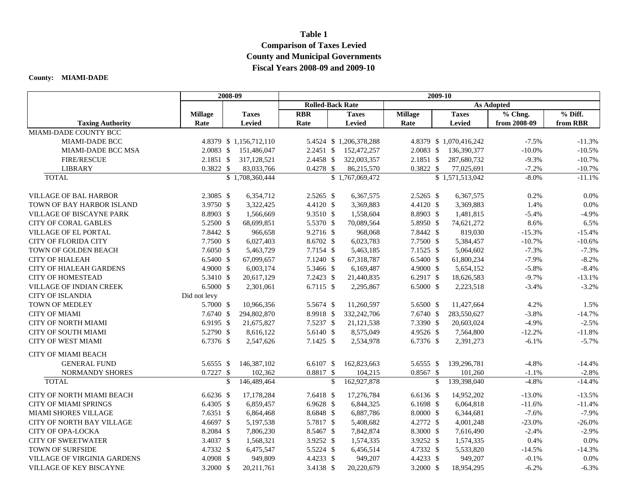#### **Table 1**

# **Comparison of Taxes Levied County and Municipal Governments Fiscal Years 2008-09 and 2009-10**

### **County: MIAMI-DADE**

|                                    |                | 2008-09       |                         | 2009-10                                      |              |                        |                |              |                         |                    |                     |
|------------------------------------|----------------|---------------|-------------------------|----------------------------------------------|--------------|------------------------|----------------|--------------|-------------------------|--------------------|---------------------|
|                                    |                |               |                         | <b>Rolled-Back Rate</b><br><b>As Adopted</b> |              |                        |                |              |                         |                    |                     |
|                                    | <b>Millage</b> |               | <b>Taxes</b>            | <b>RBR</b>                                   |              | <b>Taxes</b>           | <b>Millage</b> |              | <b>Taxes</b>            | % Chng.            | $%$ Diff.           |
| <b>Taxing Authority</b>            | Rate           |               | <b>Levied</b>           | Rate                                         |              | Levied                 | Rate           |              | <b>Levied</b>           | from 2008-09       | from RBR            |
| MIAMI-DADE COUNTY BCC              |                |               |                         |                                              |              |                        |                |              |                         |                    |                     |
| MIAMI-DADE BCC                     |                |               | 4.8379 \$ 1,156,712,110 |                                              |              | 5.4524 \$1,206,378,288 |                |              | 4.8379 \$ 1,070,416,242 | $-7.5%$            | $-11.3%$            |
| <b>MIAMI-DADE BCC MSA</b>          | 2.0083 \$      |               | 151,486,047             | $2.2451$ \$                                  |              | 152,472,257            | $2.0083$ \$    |              | 136,390,377             | $-10.0\%$          | $-10.5%$            |
| <b>FIRE/RESCUE</b>                 | 2.1851 \$      |               | 317,128,521             | 2.4458 \$                                    |              | 322,003,357            | 2.1851 \$      |              | 287,680,732             | $-9.3%$            | $-10.7%$            |
| <b>LIBRARY</b>                     | 0.3822 \$      |               | 83,033,766              | $0.4278$ \$                                  |              | 86,215,570             | 0.3822 \$      |              | 77,025,691              | $-7.2%$            | $-10.7%$            |
| <b>TOTAL</b>                       |                |               | \$1,708,360,444         |                                              |              | \$1,767,069,472        |                |              | \$1,571,513,042         | $-8.0\%$           | $-11.1%$            |
| <b>VILLAGE OF BAL HARBOR</b>       | 2.3085 \$      |               | 6,354,712               | $2.5265$ \$                                  |              | 6,367,575              | $2.5265$ \$    |              | 6,367,575               | 0.2%               | 0.0%                |
| TOWN OF BAY HARBOR ISLAND          | 3.9750 \$      |               | 3,322,425               | 4.4120 \$                                    |              | 3,369,883              | 4.4120 \$      |              | 3,369,883               | 1.4%               | 0.0%                |
| <b>VILLAGE OF BISCAYNE PARK</b>    | 8.8903 \$      |               | 1,566,669               | 9.3510 \$                                    |              | 1,558,604              | 8.8903 \$      |              | 1,481,815               | $-5.4%$            | $-4.9%$             |
| <b>CITY OF CORAL GABLES</b>        | 5.2500 \$      |               | 68,699,851              | 5.5370 \$                                    |              | 70,089,564             | 5.8950 \$      |              | 74,621,272              | 8.6%               | 6.5%                |
| <b>VILLAGE OF EL PORTAL</b>        | 7.8442 \$      |               | 966,658                 | $9.2716$ \$                                  |              | 968,068                | 7.8442 \$      |              | 819,030                 | $-15.3%$           | $-15.4%$            |
| <b>CITY OF FLORIDA CITY</b>        | 7.7500 \$      |               | 6,027,403               | 8.6702 \$                                    |              | 6,023,783              | 7.7500 \$      |              | 5,384,457               | $-10.7%$           | $-10.6%$            |
| TOWN OF GOLDEN BEACH               | 7.6050 \$      |               | 5,463,729               | 7.7154 \$                                    |              | 5,463,185              | 7.1525 \$      |              | 5,064,602               | $-7.3%$            | $-7.3%$             |
| <b>CITY OF HIALEAH</b>             | 6.5400 \$      |               | 67,099,657              | 7.1240 \$                                    |              | 67,318,787             | 6.5400 \$      |              | 61,800,234              | $-7.9%$            | $-8.2%$             |
| <b>CITY OF HIALEAH GARDENS</b>     | 4.9000 \$      |               | 6,003,174               | 5.3466 \$                                    |              | 6,169,487              | 4.9000 \$      |              | 5,654,152               | $-5.8%$            | $-8.4%$             |
| <b>CITY OF HOMESTEAD</b>           | 5.3410 \$      |               | 20,617,129              | $7.2423$ \$                                  |              | 21,440,835             | 6.2917 \$      |              | 18,626,583              | $-9.7%$            | $-13.1%$            |
| <b>VILLAGE OF INDIAN CREEK</b>     | 6.5000 \$      |               | 2,301,061               | 6.7115 $$$                                   |              | 2,295,867              | $6.5000$ \$    |              | 2,223,518               | $-3.4%$            | $-3.2%$             |
| <b>CITY OF ISLANDIA</b>            | Did not levy   |               |                         |                                              |              |                        |                |              |                         |                    |                     |
| <b>TOWN OF MEDLEY</b>              | 5.7000 \$      |               | 10,966,356              | 5.5674 \$                                    |              | 11,260,597             | 5.6500 \$      |              | 11,427,664              | 4.2%               | 1.5%                |
| <b>CITY OF MIAMI</b>               | 7.6740 \$      |               | 294,802,870             | 8.9918 \$                                    |              | 332,242,706            | 7.6740 \$      |              | 283,550,627             | $-3.8%$            | $-14.7%$            |
| <b>CITY OF NORTH MIAMI</b>         | 6.9195 \$      |               | 21,675,827              | 7.5237 \$                                    |              | 21,121,538             | 7.3390 \$      |              | 20,603,024              | $-4.9%$            | $-2.5%$             |
| CITY OF SOUTH MIAMI                | 5.2790 \$      |               | 8,616,122               | 5.6140 \$                                    |              | 8,575,049              | 4.9526 \$      |              | 7,564,800               | $-12.2%$           | $-11.8%$            |
| <b>CITY OF WEST MIAMI</b>          | 6.7376 \$      |               | 2,547,626               | 7.1425 \$                                    |              | 2,534,978              | 6.7376 \$      |              | 2,391,273               | $-6.1%$            | $-5.7%$             |
|                                    |                |               |                         |                                              |              |                        |                |              |                         |                    |                     |
| <b>CITY OF MIAMI BEACH</b>         |                |               |                         |                                              |              |                        |                |              |                         |                    |                     |
| <b>GENERAL FUND</b>                | 5.6555 \$      |               | 146,387,102             | $6.6107$ \$                                  |              | 162,823,663            | 5.6555 \$      |              | 139,296,781             | $-4.8%$            | $-14.4%$            |
| NORMANDY SHORES<br><b>TOTAL</b>    | $0.7227$ \$    | <sup>\$</sup> | 102,362<br>146,489,464  | $0.8817$ \$                                  | $\mathbb{S}$ | 104,215<br>162,927,878 | $0.8567$ \$    | $\mathbb{S}$ | 101,260<br>139,398,040  | $-1.1%$<br>$-4.8%$ | $-2.8%$<br>$-14.4%$ |
|                                    |                |               |                         |                                              |              |                        |                |              |                         |                    |                     |
| <b>CITY OF NORTH MIAMI BEACH</b>   | $6.6236$ \$    |               | 17,178,284              | 7.6418 \$                                    |              | 17,276,784             | 6.6136 \$      |              | 14,952,202              | $-13.0%$           | $-13.5%$            |
| <b>CITY OF MIAMI SPRINGS</b>       | 6.4305 \$      |               | 6,859,457               | $6.9628$ \$                                  |              | 6,844,325              | $6.1698$ \$    |              | 6,064,818               | $-11.6%$           | $-11.4%$            |
| <b>MIAMI SHORES VILLAGE</b>        | 7.6351 \$      |               | 6,864,468               | 8.6848 \$                                    |              | 6,887,786              | 8.0000 \$      |              | 6,344,681               | $-7.6%$            | $-7.9%$             |
| CITY OF NORTH BAY VILLAGE          | 4.6697 \$      |               | 5,197,538               | 5.7817 \$                                    |              | 5,408,682              | 4.2772 \$      |              | 4,001,248               | $-23.0%$           | $-26.0\%$           |
| CITY OF OPA-LOCKA                  | 8.2084 \$      |               | 7,806,230               | 8.5467 \$                                    |              | 7,842,874              | 8.3000 \$      |              | 7,616,490               | $-2.4%$            | $-2.9%$             |
| <b>CITY OF SWEETWATER</b>          | 3.4037 \$      |               | 1,568,321               | 3.9252 \$                                    |              | 1,574,335              | 3.9252 \$      |              | 1,574,335               | 0.4%               | 0.0%                |
| TOWN OF SURFSIDE                   | 4.7332 \$      |               | 6,475,547               | 5.5224 \$                                    |              | 6,456,514              | 4.7332 \$      |              | 5,533,820               | $-14.5%$           | $-14.3%$            |
| <b>VILLAGE OF VIRGINIA GARDENS</b> | 4.0908 \$      |               | 949,809                 | 4.4233 \$                                    |              | 949,207                | 4.4233 \$      |              | 949,207                 | $-0.1%$            | 0.0%                |
| VILLAGE OF KEY BISCAYNE            | 3.2000 \$      |               | 20,211,761              | 3.4138 \$                                    |              | 20,220,679             | 3.2000 \$      |              | 18,954,295              | $-6.2%$            | $-6.3%$             |